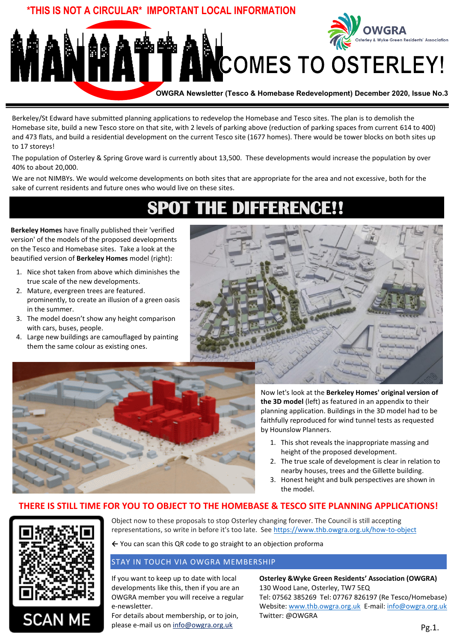

Berkeley/St Edward have submitted planning applications to redevelop the Homebase and Tesco sites. The plan is to demolish the Homebase site, build a new Tesco store on that site, with 2 levels of parking above (reduction of parking spaces from current 614 to 400) and 473 flats, and build a residential development on the current Tesco site (1677 homes). There would be tower blocks on both sites up to 17 storeys!

The population of Osterley & Spring Grove ward is currently about 13,500. These developments would increase the population by over 40% to about 20,000.

We are not NIMBYs. We would welcome developments on both sites that are appropriate for the area and not excessive, both for the sake of current residents and future ones who would live on these sites.

# **SPOT THE DIFFERENCE!!**

**Berkeley Homes** have finally published their 'verified version' of the models of the proposed developments on the Tesco and Homebase sites. Take a look at the beautified version of **Berkeley Homes** model (right):

- 1. Nice shot taken from above which diminishes the true scale of the new developments.
- 2. Mature, evergreen trees are featured. prominently, to create an illusion of a green oasis in the summer.
- 3. The model doesn't show any height comparison with cars, buses, people.
- 4. Large new buildings are camouflaged by painting them the same colour as existing ones.





Now let's look at the **Berkeley Homes' original version of the 3D model** (left) as featured in an appendix to their planning application. Buildings in the 3D model had to be faithfully reproduced for wind tunnel tests as requested by Hounslow Planners.

- 1. This shot reveals the inappropriate massing and height of the proposed development.
- 2. The true scale of development is clear in relation to nearby houses, trees and the Gillette building.
- 3. Honest height and bulk perspectives are shown in the model.

# **THERE IS STILL TIME FOR YOU TO OBJECT TO THE HOMEBASE & TESCO SITE PLANNING APPLICATIONS!**



**SCAN M** 

Object now to these proposals to stop Osterley changing forever. The Council is still accepting representations, so write in before it's too late. See<https://www.thb.owgra.org.uk/how-to-object>

**←** You can scan this QR code to go straight to an objection proforma

## STAY IN TOUCH VIA OWGRA MEMBERSHIP

If you want to keep up to date with local developments like this, then if you are an OWGRA member you will receive a regular e-newsletter.

For details about membership, or to join, please e-mail us on info@owgra.org.uk

**Osterley &Wyke Green Residents' Association (OWGRA)** 130 Wood Lane, Osterley, TW7 5EQ Tel: 07562 385269 Tel: 07767 826197 (Re Tesco/Homebase) Website: [www.thb.owgra.org.uk](http://www.thb.owgra.org.uk/) E-mail[: info@owgra.org.uk](mailto:info@owgra.org.uk) Twitter: @OWGRA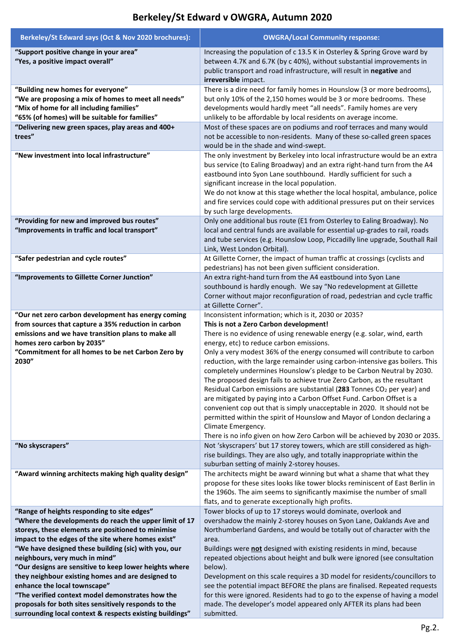#### **Berkeley/St Edward says (Oct & Nov 2020 brochures): OWGRA/Local Community response: "Support positive change in your area" "Yes, a positive impact overall"** Increasing the population of c 13.5 K in Osterley & Spring Grove ward by between 4.7K and 6.7K (by c 40%), without substantial improvements in public transport and road infrastructure, will result in **negative** and **irreversible** impact. **"Building new homes for everyone" "We are proposing a mix of homes to meet all needs" "Mix of home for all including families" "65% (of homes) will be suitable for families"** There is a dire need for family homes in Hounslow (3 or more bedrooms), but only 10% of the 2,150 homes would be 3 or more bedrooms. These developments would hardly meet "all needs". Family homes are very unlikely to be affordable by local residents on average income. **"Delivering new green spaces, play areas and 400+ trees"** Most of these spaces are on podiums and roof terraces and many would not be accessible to non-residents. Many of these so-called green spaces would be in the shade and wind-swept. **"New investment into local infrastructure"** The only investment by Berkeley into local infrastructure would be an extra bus service (to Ealing Broadway) and an extra right-hand turn from the A4 eastbound into Syon Lane southbound. Hardly sufficient for such a significant increase in the local population. We do not know at this stage whether the local hospital, ambulance, police and fire services could cope with additional pressures put on their services by such large developments. **"Providing for new and improved bus routes" "Improvements in traffic and local transport"** Only one additional bus route (E1 from Osterley to Ealing Broadway). No local and central funds are available for essential up-grades to rail, roads and tube services (e.g. Hounslow Loop, Piccadilly line upgrade, Southall Rail Link, West London Orbital). **"Safer pedestrian and cycle routes"** At Gillette Corner, the impact of human traffic at crossings (cyclists and pedestrians) has not been given sufficient consideration. **"Improvements to Gillette Corner Junction"** An extra right-hand turn from the A4 eastbound into Syon Lane southbound is hardly enough. We say "No redevelopment at Gillette Corner without major reconfiguration of road, pedestrian and cycle traffic at Gillette Corner". **"Our net zero carbon development has energy coming from sources that capture a 35% reduction in carbon emissions and we have transition plans to make all homes zero carbon by 2035" "Commitment for all homes to be net Carbon Zero by 2030"** Inconsistent information; which is it, 2030 or 2035? **This is not a Zero Carbon development!**  There is no evidence of using renewable energy (e.g. solar, wind, earth energy, etc) to reduce carbon emissions. Only a very modest 36% of the energy consumed will contribute to carbon reduction, with the large remainder using carbon-intensive gas boilers. This completely undermines Hounslow's pledge to be Carbon Neutral by 2030. The proposed design fails to achieve true Zero Carbon, as the resultant Residual Carbon emissions are substantial (**283** Tonnes CO<sup>2</sup> per year) and are mitigated by paying into a Carbon Offset Fund. Carbon Offset is a convenient cop out that is simply unacceptable in 2020. It should not be permitted within the spirit of Hounslow and Mayor of London declaring a Climate Emergency. There is no info given on how Zero Carbon will be achieved by 2030 or 2035. **"No skyscrapers"** Not 'skyscrapers' but 17 storey towers, which are still considered as highrise buildings. They are also ugly, and totally inappropriate within the suburban setting of mainly 2-storey houses. **"Award winning architects making high quality design"** The architects might be award winning but what a shame that what they propose for these sites looks like tower blocks reminiscent of East Berlin in the 1960s. The aim seems to significantly maximise the number of small flats, and to generate exceptionally high profits. **"Range of heights responding to site edges" "Where the developments do reach the upper limit of 17 storeys, these elements are positioned to minimise impact to the edges of the site where homes exist" "We have designed these building (sic) with you, our neighbours, very much in mind" "Our designs are sensitive to keep lower heights where they neighbour existing homes and are designed to enhance the local townscape" "The verified context model demonstrates how the proposals for both sites sensitively responds to the surrounding local context & respects existing buildings"** Tower blocks of up to 17 storeys would dominate, overlook and overshadow the mainly 2-storey houses on Syon Lane, Oaklands Ave and Northumberland Gardens, and would be totally out of character with the area. Buildings were **not** designed with existing residents in mind, because repeated objections about height and bulk were ignored (see consultation below). Development on this scale requires a 3D model for residents/councillors to see the potential impact BEFORE the plans are finalised. Repeated requests for this were ignored. Residents had to go to the expense of having a model made. The developer's model appeared only AFTER its plans had been submitted.

# **Berkeley/St Edward v OWGRA, Autumn 2020**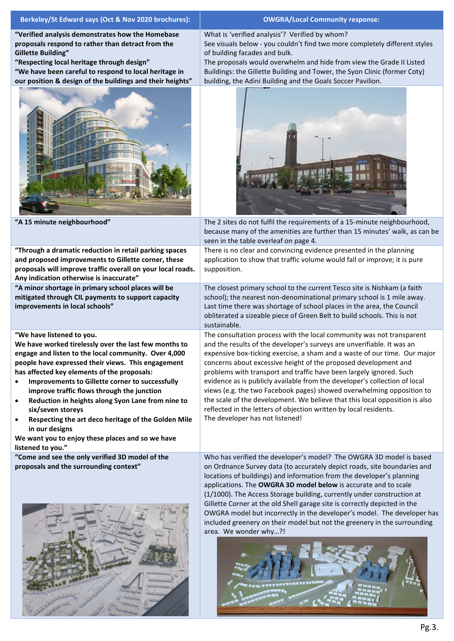| Berkeley/St Edward says (Oct & Nov 2020 brochures):                                                                                                                                                                                                                                                                                                                                                                                                                                                                                                                                                    | <b>OWGRA/Local Community response:</b>                                                                                                                                                                                                                                                                                                                                                                                                                                                                                                                                                                                                                                                                               |  |  |  |
|--------------------------------------------------------------------------------------------------------------------------------------------------------------------------------------------------------------------------------------------------------------------------------------------------------------------------------------------------------------------------------------------------------------------------------------------------------------------------------------------------------------------------------------------------------------------------------------------------------|----------------------------------------------------------------------------------------------------------------------------------------------------------------------------------------------------------------------------------------------------------------------------------------------------------------------------------------------------------------------------------------------------------------------------------------------------------------------------------------------------------------------------------------------------------------------------------------------------------------------------------------------------------------------------------------------------------------------|--|--|--|
| "Verified analysis demonstrates how the Homebase<br>proposals respond to rather than detract from the<br><b>Gillette Building"</b><br>"Respecting local heritage through design"<br>"We have been careful to respond to local heritage in<br>our position & design of the buildings and their heights"                                                                                                                                                                                                                                                                                                 | What is 'verified analysis'? Verified by whom?<br>See visuals below - you couldn't find two more completely different styles<br>of building facades and bulk.<br>The proposals would overwhelm and hide from view the Grade II Listed<br>Buildings: the Gillette Building and Tower, the Syon Clinic (former Coty)<br>building, the Adini Building and the Goals Soccer Pavilion.                                                                                                                                                                                                                                                                                                                                    |  |  |  |
|                                                                                                                                                                                                                                                                                                                                                                                                                                                                                                                                                                                                        |                                                                                                                                                                                                                                                                                                                                                                                                                                                                                                                                                                                                                                                                                                                      |  |  |  |
| "A 15 minute neighbourhood"                                                                                                                                                                                                                                                                                                                                                                                                                                                                                                                                                                            | The 2 sites do not fulfil the requirements of a 15-minute neighbourhood,<br>because many of the amenities are further than 15 minutes' walk, as can be<br>seen in the table overleaf on page 4.                                                                                                                                                                                                                                                                                                                                                                                                                                                                                                                      |  |  |  |
| "Through a dramatic reduction in retail parking spaces<br>and proposed improvements to Gillette corner, these<br>proposals will improve traffic overall on your local roads.<br>Any indication otherwise is inaccurate"                                                                                                                                                                                                                                                                                                                                                                                | There is no clear and convincing evidence presented in the planning<br>application to show that traffic volume would fall or improve; it is pure<br>supposition.                                                                                                                                                                                                                                                                                                                                                                                                                                                                                                                                                     |  |  |  |
| "A minor shortage in primary school places will be<br>mitigated through CIL payments to support capacity<br>improvements in local schools"                                                                                                                                                                                                                                                                                                                                                                                                                                                             | The closest primary school to the current Tesco site is Nishkam (a faith<br>school); the nearest non-denominational primary school is 1 mile away.<br>Last time there was shortage of school places in the area, the Council<br>obliterated a sizeable piece of Green Belt to build schools. This is not<br>sustainable.                                                                                                                                                                                                                                                                                                                                                                                             |  |  |  |
| "We have listened to you.<br>We have worked tirelessly over the last few months to<br>engage and listen to the local community. Over 4,000<br>people have expressed their views. This engagement<br>has affected key elements of the proposals:<br>Improvements to Gillette corner to successfully<br>improve traffic flows through the junction<br>Reduction in heights along Syon Lane from nine to<br>$\bullet$<br>six/seven storeys<br>Respecting the art deco heritage of the Golden Mile<br>$\bullet$<br>in our designs<br>We want you to enjoy these places and so we have<br>listened to you." | The consultation process with the local community was not transparent<br>and the results of the developer's surveys are unverifiable. It was an<br>expensive box-ticking exercise, a sham and a waste of our time. Our major<br>concerns about excessive height of the proposed development and<br>problems with transport and traffic have been largely ignored. Such<br>evidence as is publicly available from the developer's collection of local<br>views (e.g. the two Facebook pages) showed overwhelming opposition to<br>the scale of the development. We believe that this local opposition is also<br>reflected in the letters of objection written by local residents.<br>The developer has not listened! |  |  |  |
| "Come and see the only verified 3D model of the<br>proposals and the surrounding context"                                                                                                                                                                                                                                                                                                                                                                                                                                                                                                              | Who has verified the developer's model? The OWGRA 3D model is based<br>on Ordnance Survey data (to accurately depict roads, site boundaries and<br>locations of buildings) and information from the developer's planning<br>applications. The OWGRA 3D model below is accurate and to scale<br>(1/1000). The Access Storage building, currently under construction at<br>Gillette Corner at the old Shell garage site is correctly depicted in the<br>OWGRA model but incorrectly in the developer's model. The developer has<br>included greenery on their model but not the greenery in the surrounding<br>area. We wonder why?!                                                                                   |  |  |  |